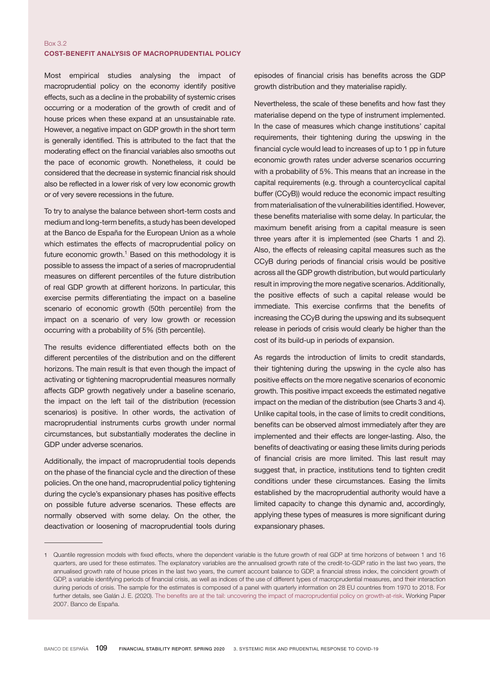## Box 3.2 COST-BENEFIT ANALYSIS OF MACROPRUDENTIAL POLICY

Most empirical studies analysing the impact of macroprudential policy on the economy identify positive effects, such as a decline in the probability of systemic crises occurring or a moderation of the growth of credit and of house prices when these expand at an unsustainable rate. However, a negative impact on GDP growth in the short term is generally identified. This is attributed to the fact that the moderating effect on the financial variables also smooths out the pace of economic growth. Nonetheless, it could be considered that the decrease in systemic financial risk should also be reflected in a lower risk of very low economic growth or of very severe recessions in the future.

To try to analyse the balance between short-term costs and medium and long-term benefits, a study has been developed at the Banco de España for the European Union as a whole which estimates the effects of macroprudential policy on future economic growth. $1$  Based on this methodology it is possible to assess the impact of a series of macroprudential measures on different percentiles of the future distribution of real GDP growth at different horizons. In particular, this exercise permits differentiating the impact on a baseline scenario of economic growth (50th percentile) from the impact on a scenario of very low growth or recession occurring with a probability of 5% (5th percentile).

The results evidence differentiated effects both on the different percentiles of the distribution and on the different horizons. The main result is that even though the impact of activating or tightening macroprudential measures normally affects GDP growth negatively under a baseline scenario, the impact on the left tail of the distribution (recession scenarios) is positive. In other words, the activation of macroprudential instruments curbs growth under normal circumstances, but substantially moderates the decline in GDP under adverse scenarios.

Additionally, the impact of macroprudential tools depends on the phase of the financial cycle and the direction of these policies. On the one hand, macroprudential policy tightening during the cycle's expansionary phases has positive effects on possible future adverse scenarios. These effects are normally observed with some delay. On the other, the deactivation or loosening of macroprudential tools during

episodes of financial crisis has benefits across the GDP growth distribution and they materialise rapidly.

Nevertheless, the scale of these benefits and how fast they materialise depend on the type of instrument implemented. In the case of measures which change institutions' capital requirements, their tightening during the upswing in the financial cycle would lead to increases of up to 1 pp in future economic growth rates under adverse scenarios occurring with a probability of 5%. This means that an increase in the capital requirements (e.g. through a countercyclical capital buffer (CCyB)) would reduce the economic impact resulting from materialisation of the vulnerabilities identified. However, these benefits materialise with some delay. In particular, the maximum benefit arising from a capital measure is seen three years after it is implemented (see Charts 1 and 2). Also, the effects of releasing capital measures such as the CCyB during periods of financial crisis would be positive across all the GDP growth distribution, but would particularly result in improving the more negative scenarios. Additionally, the positive effects of such a capital release would be immediate. This exercise confirms that the benefits of increasing the CCyB during the upswing and its subsequent release in periods of crisis would clearly be higher than the cost of its build-up in periods of expansion.

As regards the introduction of limits to credit standards, their tightening during the upswing in the cycle also has positive effects on the more negative scenarios of economic growth. This positive impact exceeds the estimated negative impact on the median of the distribution (see Charts 3 and 4). Unlike capital tools, in the case of limits to credit conditions, benefits can be observed almost immediately after they are implemented and their effects are longer-lasting. Also, the benefits of deactivating or easing these limits during periods of financial crisis are more limited. This last result may suggest that, in practice, institutions tend to tighten credit conditions under these circumstances. Easing the limits established by the macroprudential authority would have a limited capacity to change this dynamic and, accordingly, applying these types of measures is more significant during expansionary phases.

<sup>1</sup> Quantile regression models with fixed effects, where the dependent variable is the future growth of real GDP at time horizons of between 1 and 16 quarters, are used for these estimates. The explanatory variables are the annualised growth rate of the credit-to-GDP ratio in the last two years, the annualised growth rate of house prices in the last two years, the current account balance to GDP, a financial stress index, the coincident growth of GDP, a variable identifying periods of financial crisis, as well as indices of the use of different types of macroprudential measures, and their interaction during periods of crisis. The sample for the estimates is composed of a panel with quarterly information on 28 EU countries from 1970 to 2018. For further details, see Galán J. E. (2020). The benefits are at the tail: uncovering the impact of [macroprudential](https://www.bde.es/f/webbde/SES/Secciones/Publicaciones/PublicacionesSeriadas/DocumentosTrabajo/20/Files/dt2007e.pdf) policy on growth-at-risk. Working Paper 2007. Banco de España.